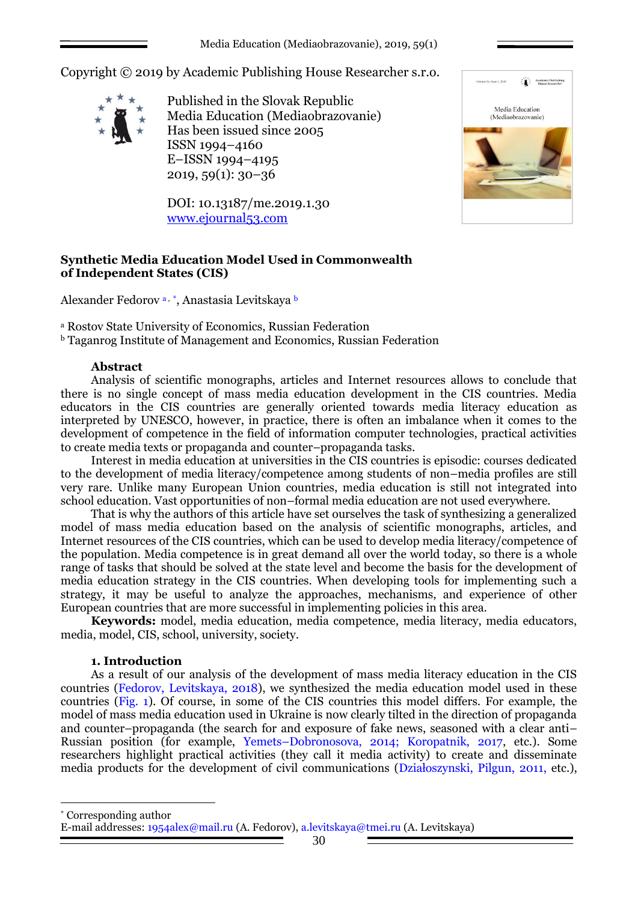Media Education (Mediaobrazovanie), 2019, 59(1)

Copyright © 2019 by Academic Publishing House Researcher s.r.o.



Published in the Slovak Republic Media Education (Mediaobrazovanie) Has been issued since 2005 ISSN 1994–4160 E–ISSN 1994–4195 2019, 59(1): 30–36

DOI: 10.13187/me.2019.1.30 [www.ejournal53.com](http://www.ejournal53.com/)



## **Synthetic Media Education Model Used in Commonwealth of Independent States (CIS)**

Alexander Fedorov a, \*, Anastasia Levitskaya b

<sup>a</sup> Rostov State University of Economics, Russian Federation

<sup>b</sup> Taganrog Institute of Management and Economics, Russian Federation

### **Abstract**

Analysis of scientific monographs, articles and Internet resources allows to conclude that there is no single concept of mass media education development in the CIS countries. Media educators in the CIS countries are generally oriented towards media literacy education as interpreted by UNESCO, however, in practice, there is often an imbalance when it comes to the development of competence in the field of information computer technologies, practical activities to create media texts or propaganda and counter–propaganda tasks.

Interest in media education at universities in the CIS countries is episodic: courses dedicated to the development of media literacy/competence among students of non–media profiles are still very rare. Unlike many European Union countries, media education is still not integrated into school education. Vast opportunities of non–formal media education are not used everywhere.

That is why the authors of this article have set ourselves the task of synthesizing a generalized model of mass media education based on the analysis of scientific monographs, articles, and Internet resources of the CIS countries, which can be used to develop media literacy/competence of the population. Media competence is in great demand all over the world today, so there is a whole range of tasks that should be solved at the state level and become the basis for the development of media education strategy in the CIS countries. When developing tools for implementing such a strategy, it may be useful to analyze the approaches, mechanisms, and experience of other European countries that are more successful in implementing policies in this area.

**Keywords:** model, media education, media competence, media literacy, media educators, media, model, CIS, school, university, society.

### **1. Introduction**

As a result of our analysis of the development of mass media literacy education in the CIS countries (Fedorov, Levitskaya, 2018), we synthesized the media education model used in these countries (Fig. 1). Of course, in some of the CIS countries this model differs. For example, the model of mass media education used in Ukraine is now clearly tilted in the direction of propaganda and counter–propaganda (the search for and exposure of fake news, seasoned with a clear anti– Russian position (for example, Yemets–Dobronosova, 2014; Koropatnik, 2017, etc.). Some researchers highlight practical activities (they call it media activity) to create and disseminate media products for the development of civil communications (Działoszynski, Pilgun, 2011, etc.),

Corresponding author

1

E-mail addresses: [1954alex@mail.ru](mailto:1954alex@mail.ru) (A. Fedorov), [a.levitskaya@tmei.ru](mailto:a.levitskaya@tmei.ru) (A. Levitskaya)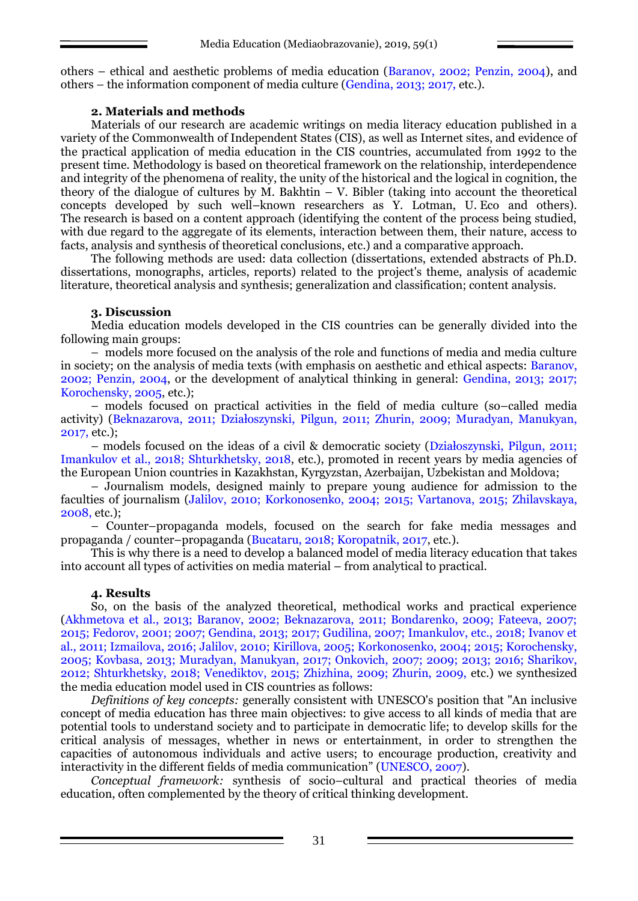others – ethical and aesthetic problems of media education (Baranov, 2002; Penzin, 2004), and others – the information component of media culture (Gendina, 2013; 2017, etc.).

## **2. Materials and methods**

Materials of our research are academic writings on media literacy education published in a variety of the Commonwealth of Independent States (CIS), as well as Internet sites, and evidence of the practical application of media education in the CIS countries, accumulated from 1992 to the present time. Methodology is based on theoretical framework on the relationship, interdependence and integrity of the phenomena of reality, the unity of the historical and the logical in cognition, the theory of the dialogue of cultures by M. Bakhtin  $-V$ . Bibler (taking into account the theoretical concepts developed by such well–known researchers as Y. Lotman, U. Eco and others). The research is based on a content approach (identifying the content of the process being studied, with due regard to the aggregate of its elements, interaction between them, their nature, access to facts, analysis and synthesis of theoretical conclusions, etc.) and a comparative approach.

The following methods are used: data collection (dissertations, extended abstracts of Ph.D. dissertations, monographs, articles, reports) related to the project's theme, analysis of academic literature, theoretical analysis and synthesis; generalization and classification; content analysis.

## **3. Discussion**

Media education models developed in the CIS countries can be generally divided into the following main groups:

– models more focused on the analysis of the role and functions of media and media culture in society; on the analysis of media texts (with emphasis on aesthetic and ethical aspects: Baranov, 2002; Penzin, 2004, or the development of analytical thinking in general: Gendina, 2013; 2017; Korochensky, 2005, etc.);

– models focused on practical activities in the field of media culture (so–called media activity) (Beknazarova, 2011; Działoszynski, Pilgun, 2011; Zhurin, 2009; Muradyan, Manukyan, 2017, etc.);

– models focused on the ideas of a civil & democratic society (Działoszynski, Pilgun, 2011; Imankulov et al., 2018; Shturkhetsky, 2018, etc.), promoted in recent years by media agencies of the European Union countries in Kazakhstan, Kyrgyzstan, Azerbaijan, Uzbekistan and Moldova;

– Journalism models, designed mainly to prepare young audience for admission to the faculties of journalism (Jalilov, 2010; Korkonosenko, 2004; 2015; Vartanova, 2015; Zhilavskaya, 2008, etc.);

– Counter–propaganda models, focused on the search for fake media messages and propaganda / counter–propaganda (Bucataru, 2018; Koropatnik, 2017, etc.).

This is why there is a need to develop a balanced model of media literacy education that takes into account all types of activities on media material – from analytical to practical.

# **4. Results**

So, on the basis of the analyzed theoretical, methodical works and practical experience (Akhmetova et al., 2013; Baranov, 2002; Beknazarova, 2011; Bondarenko, 2009; Fateeva, 2007; 2015; Fedorov, 2001; 2007; Gendina, 2013; 2017; Gudilina, 2007; Imankulov, etc., 2018; Ivanov et al., 2011; Izmailova, 2016; Jalilov, 2010; Kirillova, 2005; Korkonosenko, 2004; 2015; Korochensky, 2005; Kovbasa, 2013; Muradyan, Manukyan, 2017; Onkovich, 2007; 2009; 2013; 2016; Sharikov, 2012; Shturkhetsky, 2018; Venediktov, 2015; Zhizhina, 2009; Zhurin, 2009, etc.) we synthesized the media education model used in CIS countries as follows:

*Definitions of key concepts:* generally consistent with UNESCO's position that "An inclusive concept of media education has three main objectives: to give access to all kinds of media that are potential tools to understand society and to participate in democratic life; to develop skills for the critical analysis of messages, whether in news or entertainment, in order to strengthen the capacities of autonomous individuals and active users; to encourage production, creativity and interactivity in the different fields of media communication" (UNESCO, 2007).

*Conceptual framework:* synthesis of socio–cultural and practical theories of media education, often complemented by the theory of critical thinking development.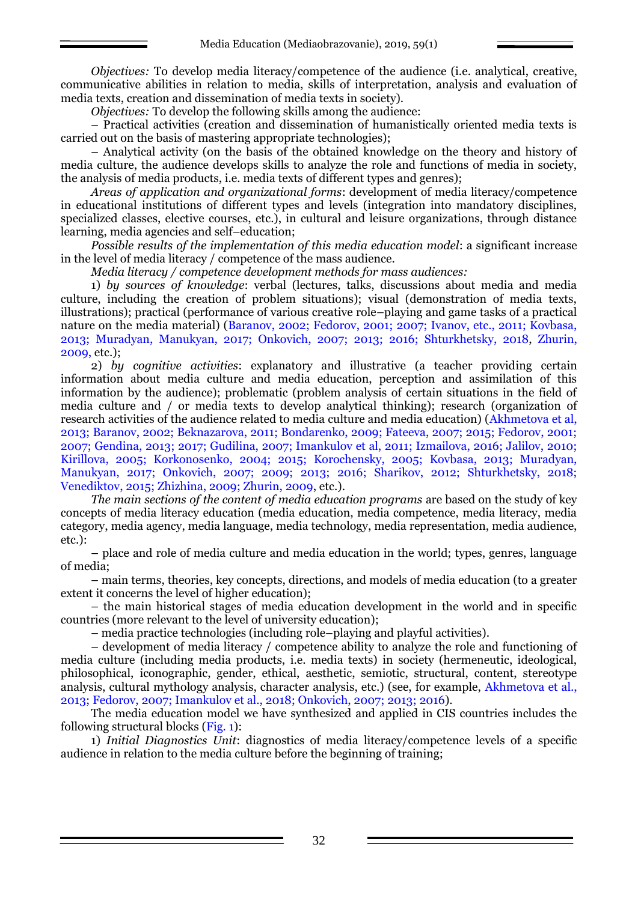*Objectives:* To develop media literacy/competence of the audience (i.e. analytical, creative, communicative abilities in relation to media, skills of interpretation, analysis and evaluation of media texts, creation and dissemination of media texts in society).

*Objectives:* To develop the following skills among the audience:

– Practical activities (creation and dissemination of humanistically oriented media texts is carried out on the basis of mastering appropriate technologies);

– Analytical activity (on the basis of the obtained knowledge on the theory and history of media culture, the audience develops skills to analyze the role and functions of media in society, the analysis of media products, i.e. media texts of different types and genres);

*Areas of application and organizational forms*: development of media literacy/competence in educational institutions of different types and levels (integration into mandatory disciplines, specialized classes, elective courses, etc.), in cultural and leisure organizations, through distance learning, media agencies and self–education;

*Possible results of the implementation of this media education model*: a significant increase in the level of media literacy / competence of the mass audience.

*Media literacy / competence development methods for mass audiences:*

1) *by sources of knowledge*: verbal (lectures, talks, discussions about media and media culture, including the creation of problem situations); visual (demonstration of media texts, illustrations); practical (performance of various creative role–playing and game tasks of a practical nature on the media material) (Baranov, 2002; Fedorov, 2001; 2007; Ivanov, etc., 2011; Kovbasa, 2013; Muradyan, Manukyan, 2017; Onkovich, 2007; 2013; 2016; Shturkhetsky, 2018, Zhurin, 2009, etc.);

2) *by cognitive activities*: explanatory and illustrative (a teacher providing certain information about media culture and media education, perception and assimilation of this information by the audience); problematic (problem analysis of certain situations in the field of media culture and / or media texts to develop analytical thinking); research (organization of research activities of the audience related to media culture and media education) (Akhmetova et al, 2013; Baranov, 2002; Beknazarova, 2011; Bondarenko, 2009; Fateeva, 2007; 2015; Fedorov, 2001; 2007; Gendina, 2013; 2017; Gudilina, 2007; Imankulov et al, 2011; Izmailova, 2016; Jalilov, 2010; Kirillova, 2005; Korkonosenko, 2004; 2015; Korochensky, 2005; Kovbasa, 2013; Muradyan, Manukyan, 2017; Onkovich, 2007; 2009; 2013; 2016; Sharikov, 2012; Shturkhetsky, 2018; Venediktov, 2015; Zhizhina, 2009; Zhurin, 2009, etc.).

*The main sections of the content of media education programs* are based on the study of key concepts of media literacy education (media education, media competence, media literacy, media category, media agency, media language, media technology, media representation, media audience, etc.):

– place and role of media culture and media education in the world; types, genres, language of media;

– main terms, theories, key concepts, directions, and models of media education (to a greater extent it concerns the level of higher education);

– the main historical stages of media education development in the world and in specific countries (more relevant to the level of university education);

– media practice technologies (including role–playing and playful activities).

– development of media literacy / competence ability to analyze the role and functioning of media culture (including media products, i.e. media texts) in society (hermeneutic, ideological, philosophical, iconographic, gender, ethical, aesthetic, semiotic, structural, content, stereotype analysis, cultural mythology analysis, character analysis, etc.) (see, for example, Akhmetova et al., 2013; Fedorov, 2007; Imankulov et al., 2018; Onkovich, 2007; 2013; 2016).

The media education model we have synthesized and applied in CIS countries includes the following structural blocks (Fig. 1):

1) *Initial Diagnostics Unit*: diagnostics of media literacy/competence levels of a specific audience in relation to the media culture before the beginning of training;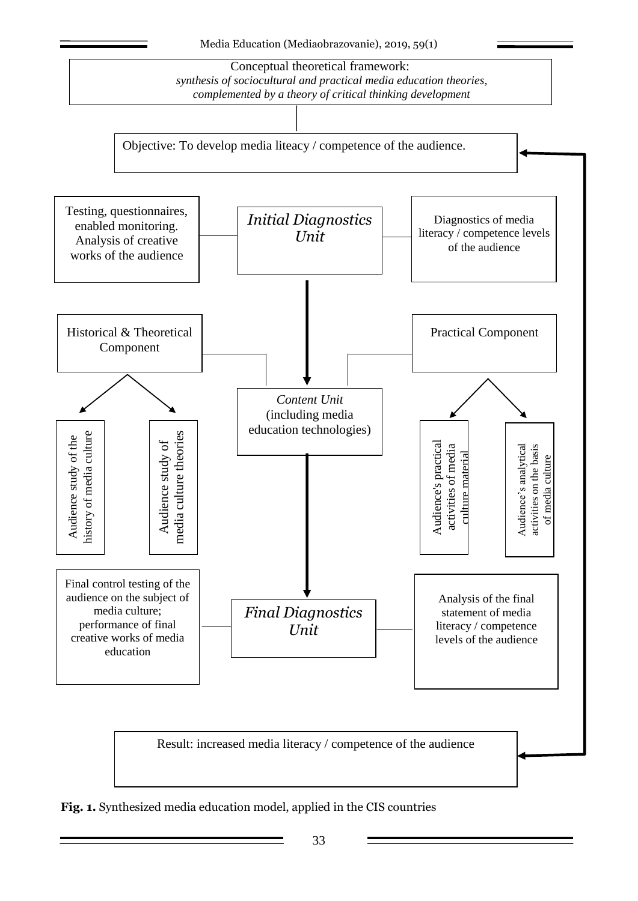

**Fig. 1.** Synthesized media education model, applied in the CIS countries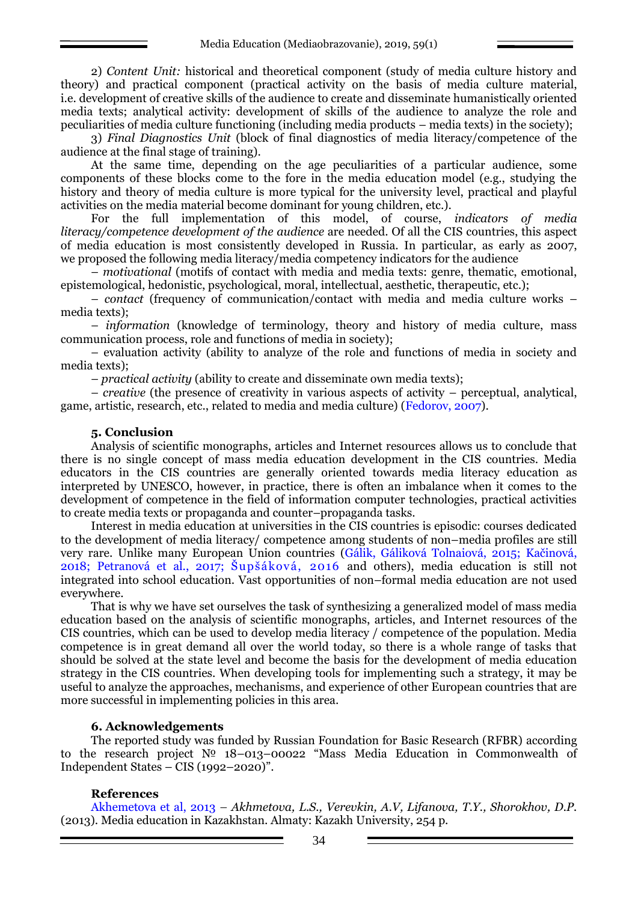2) *Content Unit:* historical and theoretical component (study of media culture history and theory) and practical component (practical activity on the basis of media culture material, i.e. development of creative skills of the audience to create and disseminate humanistically oriented media texts; analytical activity: development of skills of the audience to analyze the role and peculiarities of media culture functioning (including media products – media texts) in the society);

3) *Final Diagnostics Unit* (block of final diagnostics of media literacy/competence of the audience at the final stage of training).

At the same time, depending on the age peculiarities of a particular audience, some components of these blocks come to the fore in the media education model (e.g., studying the history and theory of media culture is more typical for the university level, practical and playful activities on the media material become dominant for young children, etc.).

For the full implementation of this model, of course, *indicators of media literacy/competence development of the audience* are needed. Of all the CIS countries, this aspect of media education is most consistently developed in Russia. In particular, as early as 2007, we proposed the following media literacy/media competency indicators for the audience

– *motivational* (motifs of contact with media and media texts: genre, thematic, emotional, epistemological, hedonistic, psychological, moral, intellectual, aesthetic, therapeutic, etc.);

– *contact* (frequency of communication/contact with media and media culture works – media texts);

– *information* (knowledge of terminology, theory and history of media culture, mass communication process, role and functions of media in society);

– evaluation activity (ability to analyze of the role and functions of media in society and media texts);

– *practical activity* (ability to create and disseminate own media texts);

– *creative* (the presence of creativity in various aspects of activity – perceptual, analytical, game, artistic, research, etc., related to media and media culture) (Fedorov, 2007).

#### **5. Conclusion**

Analysis of scientific monographs, articles and Internet resources allows us to conclude that there is no single concept of mass media education development in the CIS countries. Media educators in the CIS countries are generally oriented towards media literacy education as interpreted by UNESCO, however, in practice, there is often an imbalance when it comes to the development of competence in the field of information computer technologies, practical activities to create media texts or propaganda and counter–propaganda tasks.

Interest in media education at universities in the CIS countries is episodic: courses dedicated to the development of media literacy/ competence among students of non–media profiles are still very rare. Unlike many European Union countries (Gálik, Gáliková Tolnaiová, 2015; Kačinová, 2018; Petranová et al., 2017; [Šupšáková](https://www.communicationtoday.sk/author/bozena-supsakova/), 2016 and others), media education is still not integrated into school education. Vast opportunities of non–formal media education are not used everywhere.

That is why we have set ourselves the task of synthesizing a generalized model of mass media education based on the analysis of scientific monographs, articles, and Internet resources of the CIS countries, which can be used to develop media literacy / competence of the population. Media competence is in great demand all over the world today, so there is a whole range of tasks that should be solved at the state level and become the basis for the development of media education strategy in the CIS countries. When developing tools for implementing such a strategy, it may be useful to analyze the approaches, mechanisms, and experience of other European countries that are more successful in implementing policies in this area.

#### **6. Acknowledgements**

The reported study was funded by Russian Foundation for Basic Research (RFBR) according to the research project № 18–013–00022 "Mass Media Education in Commonwealth of Independent States – CIS (1992–2020)".

### **References**

Akhemetova et al, 2013 – *Akhmetova, L.S., Verevkin, A.V, Lifanova, T.Y., Shorokhov, D.P.* (2013). Media education in Kazakhstan. Almaty: Kazakh University, 254 p.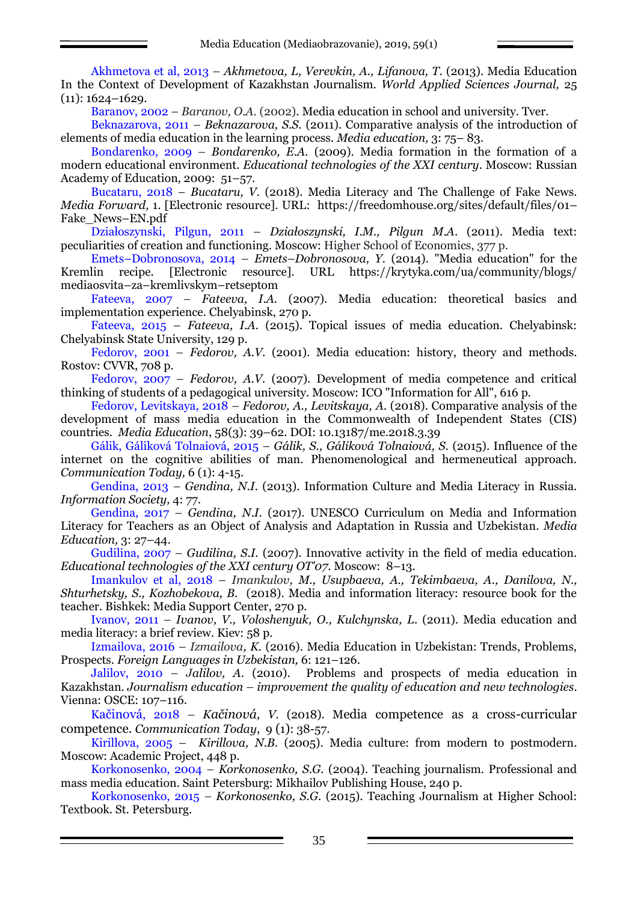Akhmetova et al, 2013 – *Akhmetova, L, Verevkin, A., Lifanova, T*. (2013). Media Education In the Context of Development of Kazakhstan Journalism. *World Applied Sciences Journal,* 25 (11): 1624–1629.

Baranov, 2002 – *Baranov, O.A.* (2002). Media education in school and university. Tver.

Beknazarova, 2011 – *Beknazarova, S.S.* (2011). Comparative analysis of the introduction of elements of media education in the learning process. *Media education,* 3: 75– 83.

Bondarenko, 2009 – *Bondarenko, E.A.* (2009). Media formation in the formation of a modern educational environment. *Educational technologies of the XXI century*. Moscow: Russian Academy of Education, 2009: 51–57.

Bucataru, 2018 – *Bucataru, V.* (2018). Media Literacy and The Challenge of Fake News. *Media Forward,* 1. [Electronic resource]. URL: [https://freedomhouse.org/sites/default/files/01](https://freedomhouse.org/sites/default/files/01–%20Fake_News–EN.pdf)– [Fake\\_News](https://freedomhouse.org/sites/default/files/01–%20Fake_News–EN.pdf)–EN.pdf

Działoszynski, Pilgun, 2011 – *Działoszynski, I.M., Pilgun M.A*. (2011). Media text: peculiarities of creation and functioning. Moscow: Higher School of Economics, 377 p.

Emets–Dobronosova, 2014 – *Emets–Dobronosova, Y.* (2014). "Media education" for the Kremlin recipe. [Electronic resource]. URL [https://krytyka.com/ua/community/blogs/](https://krytyka.com/ua/community/blogs/%20mediaosvita–za–kremlivskym–retseptom)  mediaosvita–za–[kremlivskym](https://krytyka.com/ua/community/blogs/%20mediaosvita–za–kremlivskym–retseptom)–retseptom

Fateeva, 2007 – *Fateeva, I.A.* (2007). Media education: theoretical basics and implementation experience. Chelyabinsk, 270 p.

Fateeva, 2015 – *Fateeva, I.A.* (2015). Topical issues of media education. Chelyabinsk: Chelyabinsk State University, 129 p.

Fedorov, 2001 – *Fedorov, A.V*. (2001). Media education: history, theory and methods. Rostov: CVVR, 708 p.

Fedorov, 2007 – *Fedorov, A.V.* (2007). Development of media competence and critical thinking of students of a pedagogical university. Moscow: ICO "Information for All", 616 p.

Fedorov, Levitskaya, 2018 – *Fedorov, A., Levitskaya, A.* (2018). Comparative analysis of the development of mass media education in the Commonwealth of Independent States (CIS) countries. *Media Education*, 58(3): 39–62. DOI: [10.13187/me.2018.3.39](http://dx.doi.org/10.13187/me.2018.3.39)

Gálik, Gáliková Tolnaiová, 2015 – *Gálik, S., Gáliková Tolnaiová, S.* (2015). Influence of the internet on the cognitive abilities of man. Phenomenological and hermeneutical approach. *Communication Today,* 6 (1): 4-15.

Gendina, 2013 – *Gendina, N.I.* (2013). Information Culture and Media Literacy in Russia. *Information Society,* 4: 77.

Gendina, 2017 – *Gendina, N.I.* (2017). UNESCO Curriculum on Media and Information Literacy for Teachers as an Object of Analysis and Adaptation in Russia and Uzbekistan. *Media Education,* 3: 27–44.

Gudilina, 2007 – *Gudilina, S.I.* (2007). Innovative activity in the field of media education. *Educational technologies of the XXI century OT'07*. Moscow: 8–13.

Imankulov et al, 2018 – *Imankulov, M., Usupbaeva, A., Tekimbaeva, A., Danilova, N., Shturhetsky, S., Kozhobekova, B.* (2018). Media and information literacy: resource book for the teacher*.* Bishkek: Media Support Center, 270 p.

Ivanov, 2011 – *Ivanov, V., Voloshenyuk, O., Kulchynska, L*. (2011). Media education and media literacy: a brief review. Kiev: 58 p.

Izmailova, 2016 – *Izmailova, K.* (2016). Media Education in Uzbekistan: Trends, Problems, Prospects. *Foreign Languages in Uzbekistan,* 6: 121–126.

Jalilov, 2010 – *Jalilov, A*. (2010). Problems and prospects of media education in Kazakhstan. *Journalism education* – *improvement the quality of education and new technologies*. Vienna: OSCE: 107–116.

Kačinová, 2018 – *Kačinová, V.* (2018). Media competence as a cross-curricular competence. *Communication Today*, 9 (1): 38-57.

Kirillova, 2005 – *Kirillova, N.B*. (2005). Media culture: from modern to postmodern*.* Moscow: Academic Project, 448 p.

Korkonosenko, 2004 *– Korkonosenko, S.G.* (2004). Teaching journalism. Professional and mass media education. Saint Petersburg: Mikhailov Publishing House, 240 p.

Korkonosenko, 2015 *– Korkonosenko, S.G.* (2015). Teaching Journalism at Higher School: Textbook. St. Petersburg.